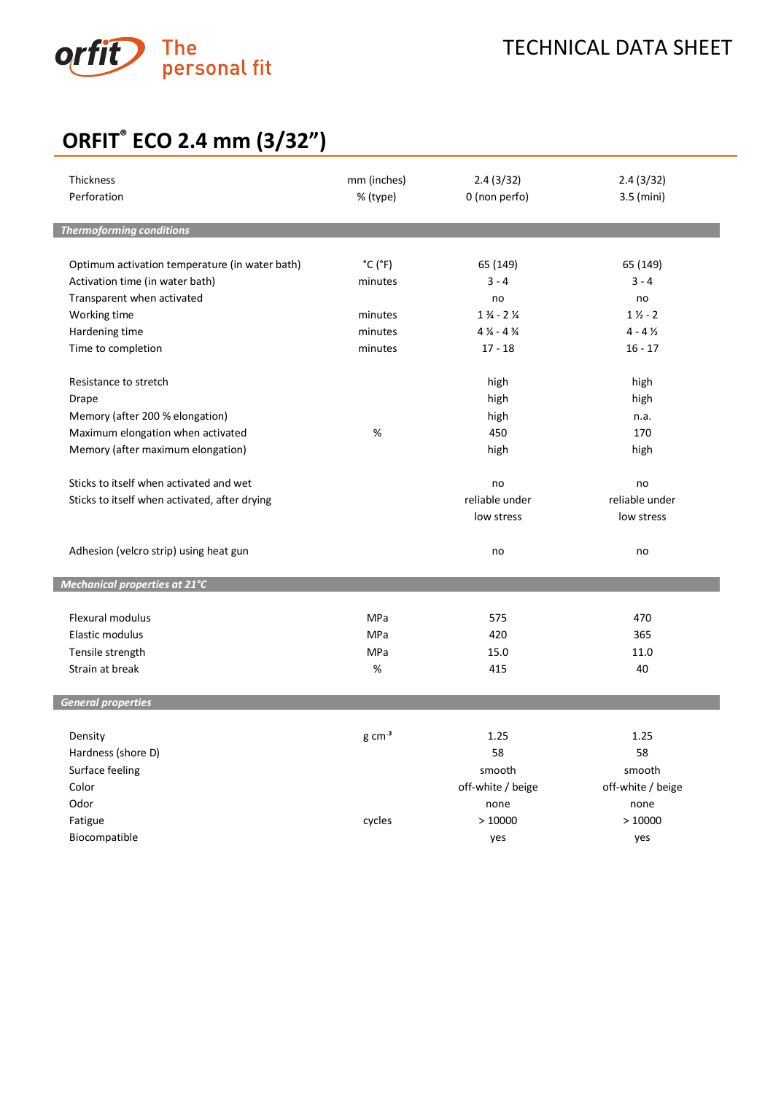

## **ORFIT® ECO 2.4 mm (3/32")**

| <b>Thickness</b><br>Perforation                | mm (inches)<br>% (type)      | 2.4(3/32)<br>0 (non perfo)                                           | 2.4(3/32)<br>3.5 (mini) |
|------------------------------------------------|------------------------------|----------------------------------------------------------------------|-------------------------|
| <b>Thermoforming conditions</b>                |                              |                                                                      |                         |
|                                                |                              |                                                                      |                         |
| Optimum activation temperature (in water bath) | $^{\circ}$ C ( $^{\circ}$ F) | 65 (149)                                                             | 65 (149)                |
| Activation time (in water bath)                | minutes                      | $3 - 4$                                                              | $3 - 4$                 |
| Transparent when activated                     |                              | no                                                                   | no                      |
| Working time                                   | minutes                      | $1\frac{3}{4}$ - 2 $\frac{1}{4}$<br>$4\frac{1}{4}$ - 4 $\frac{3}{4}$ | $1\frac{1}{2} - 2$      |
| Hardening time                                 | minutes                      |                                                                      | $4 - 4\frac{1}{2}$      |
| Time to completion                             | minutes                      | $17 - 18$                                                            | $16 - 17$               |
| Resistance to stretch                          |                              | high                                                                 | high                    |
| Drape                                          |                              | high                                                                 | high                    |
| Memory (after 200 % elongation)                |                              | high                                                                 | n.a.                    |
| Maximum elongation when activated              | %                            | 450                                                                  | 170                     |
| Memory (after maximum elongation)              |                              | high                                                                 | high                    |
| Sticks to itself when activated and wet        |                              | no                                                                   | no                      |
| Sticks to itself when activated, after drying  |                              | reliable under                                                       | reliable under          |
|                                                |                              | low stress                                                           | low stress              |
|                                                |                              |                                                                      |                         |
| Adhesion (velcro strip) using heat gun         |                              | no                                                                   | no                      |
| Mechanical properties at 21°C                  |                              |                                                                      |                         |
| <b>Flexural modulus</b>                        | <b>MPa</b>                   | 575                                                                  | 470                     |
| Elastic modulus                                | MPa                          | 420                                                                  | 365                     |
| Tensile strength                               | MPa                          | 15.0                                                                 | 11.0                    |
| Strain at break                                | %                            | 415                                                                  | 40                      |
|                                                |                              |                                                                      |                         |
| <b>General properties</b>                      |                              |                                                                      |                         |
| Density                                        | $g \, \text{cm}^{-3}$        | 1.25                                                                 | 1.25                    |
| Hardness (shore D)                             |                              | 58                                                                   | 58                      |
| Surface feeling                                |                              | smooth                                                               | smooth                  |
| Color                                          |                              | off-white / beige                                                    | off-white / beige       |
| Odor                                           |                              | none                                                                 | none                    |
| Fatigue                                        | cycles                       | >10000                                                               | >10000                  |
| Biocompatible                                  |                              | yes                                                                  | yes                     |
|                                                |                              |                                                                      |                         |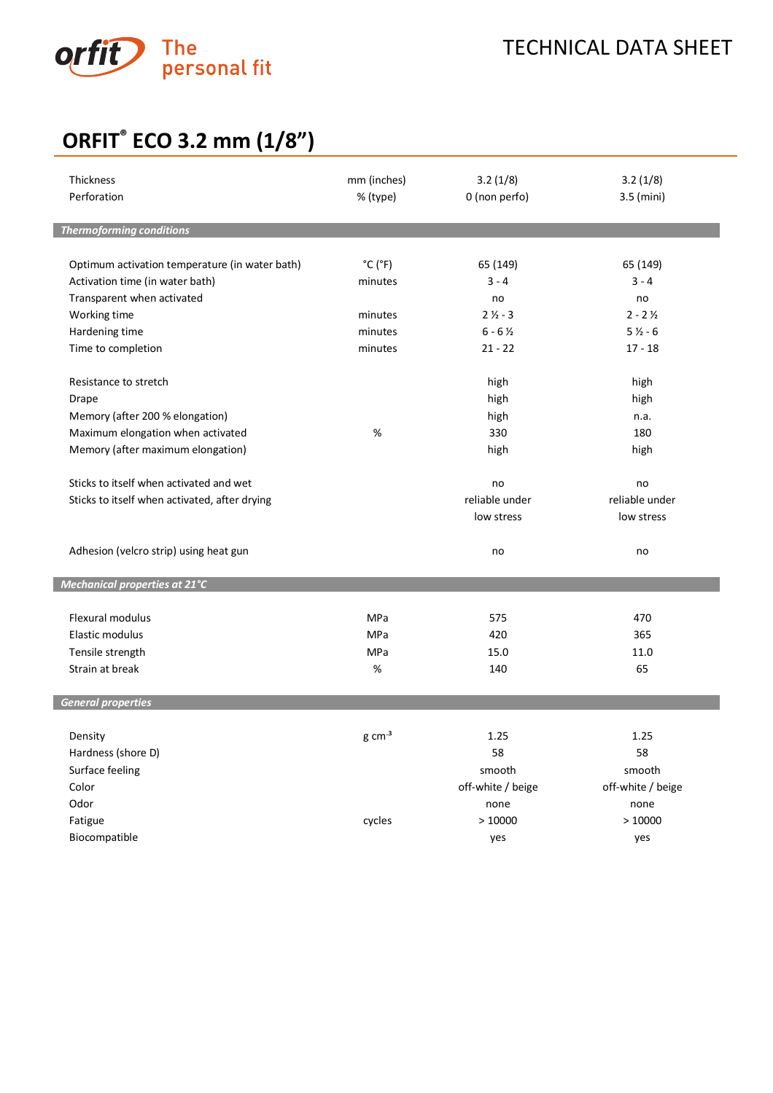

# **ORFIT® ECO 3.2 mm (1/8")**

| Thickness<br>Perforation                       | mm (inches)<br>% (type)      | 3.2(1/8)<br>0 (non perfo) | 3.2(1/8)<br>3.5 (mini) |
|------------------------------------------------|------------------------------|---------------------------|------------------------|
| <b>Thermoforming conditions</b>                |                              |                           |                        |
| Optimum activation temperature (in water bath) | $^{\circ}$ C ( $^{\circ}$ F) | 65 (149)                  | 65 (149)               |
| Activation time (in water bath)                | minutes                      | $3 - 4$                   | $3 - 4$                |
| Transparent when activated                     |                              | no                        | no                     |
| Working time                                   | minutes                      | $21/2 - 3$                | $2 - 2\frac{1}{2}$     |
| Hardening time                                 | minutes                      | $6 - 6\frac{1}{2}$        | $51/2 - 6$             |
| Time to completion                             | minutes                      | $21 - 22$                 | $17 - 18$              |
| Resistance to stretch                          |                              | high                      | high                   |
| <b>Drape</b>                                   |                              | high                      | high                   |
| Memory (after 200 % elongation)                |                              | high                      | n.a.                   |
| Maximum elongation when activated              | %                            | 330                       | 180                    |
| Memory (after maximum elongation)              |                              | high                      | high                   |
| Sticks to itself when activated and wet        |                              | no                        | no                     |
| Sticks to itself when activated, after drying  |                              | reliable under            | reliable under         |
|                                                |                              | low stress                | low stress             |
| Adhesion (velcro strip) using heat gun         |                              | no                        | no                     |
| Mechanical properties at 21°C                  |                              |                           |                        |
| Flexural modulus                               | MPa                          | 575                       | 470                    |
| Elastic modulus                                | <b>MPa</b>                   | 420                       | 365                    |
| Tensile strength                               | <b>MPa</b>                   | 15.0                      | 11.0                   |
| Strain at break                                | $\%$                         | 140                       | 65                     |
| <b>General properties</b>                      |                              |                           |                        |
| Density                                        | $g \, \text{cm}^{-3}$        | 1.25                      | 1.25                   |
| Hardness (shore D)                             |                              | 58                        | 58                     |
| Surface feeling                                |                              | smooth                    | smooth                 |
| Color                                          |                              | off-white / beige         | off-white / beige      |
| Odor                                           |                              | none                      | none                   |
| Fatigue                                        | cycles                       | >10000                    | >10000                 |
| Biocompatible                                  |                              | yes                       | yes                    |
|                                                |                              |                           |                        |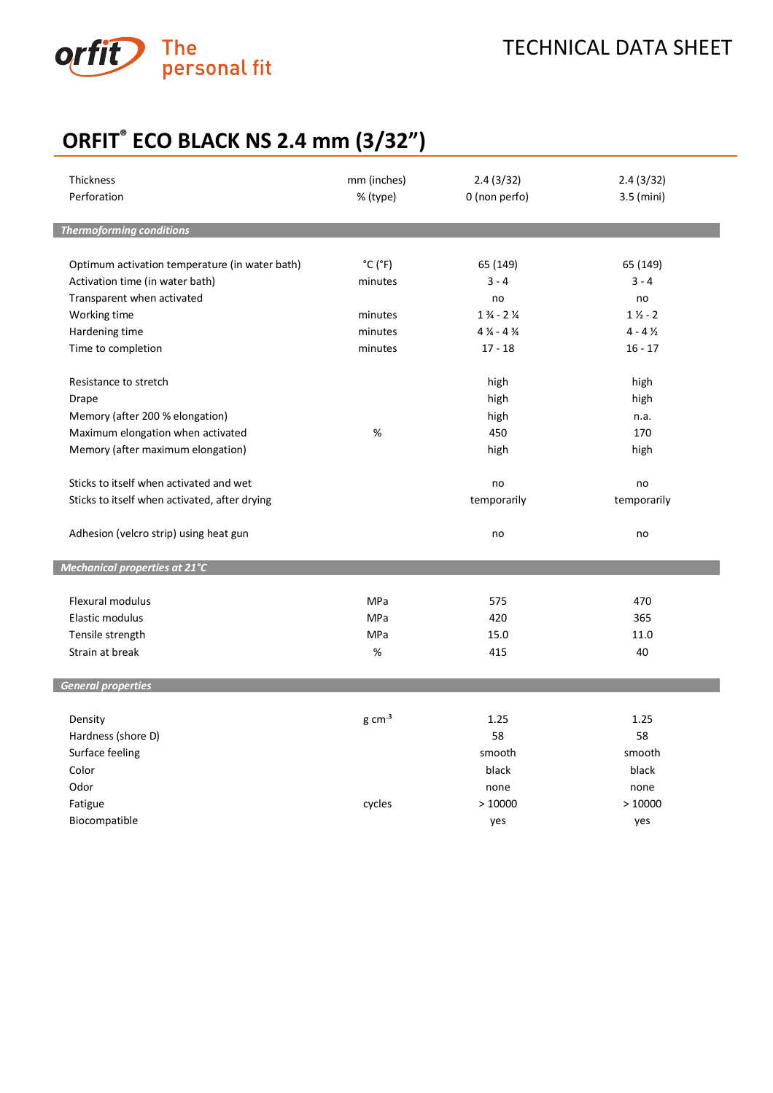

## **ORFIT® ECO BLACK NS 2.4 mm (3/32")**

| Thickness<br>Perforation                       | mm (inches)<br>% (type)      | 2.4(3/32)<br>0 (non perfo)       | 2.4(3/32)<br>$3.5$ (mini) |
|------------------------------------------------|------------------------------|----------------------------------|---------------------------|
| <b>Thermoforming conditions</b>                |                              |                                  |                           |
|                                                |                              |                                  |                           |
| Optimum activation temperature (in water bath) | $^{\circ}$ C ( $^{\circ}$ F) | 65 (149)                         | 65 (149)                  |
| Activation time (in water bath)                | minutes                      | $3 - 4$                          | $3 - 4$                   |
| Transparent when activated                     |                              | no                               | no                        |
| Working time                                   | minutes                      | $1\frac{3}{4}$ - 2 $\frac{1}{4}$ | $1\frac{1}{2} - 2$        |
| Hardening time                                 | minutes                      | $4\frac{1}{4}$ - $4\frac{3}{4}$  | $4 - 4\frac{1}{2}$        |
| Time to completion                             | minutes                      | $17 - 18$                        | $16 - 17$                 |
| Resistance to stretch                          |                              | high                             | high                      |
| Drape                                          |                              | high                             | high                      |
| Memory (after 200 % elongation)                |                              | high                             | n.a.                      |
| Maximum elongation when activated              | %                            | 450                              | 170                       |
| Memory (after maximum elongation)              |                              | high                             | high                      |
|                                                |                              |                                  |                           |
| Sticks to itself when activated and wet        |                              | no                               | no                        |
| Sticks to itself when activated, after drying  |                              | temporarily                      | temporarily               |
| Adhesion (velcro strip) using heat gun         |                              | no                               | no                        |
| Mechanical properties at 21°C                  |                              |                                  |                           |
| <b>Flexural modulus</b>                        | MPa                          | 575                              | 470                       |
| Elastic modulus                                | MPa                          | 420                              | 365                       |
| Tensile strength                               | MPa                          | 15.0                             | 11.0                      |
| Strain at break                                | %                            | 415                              | 40                        |
|                                                |                              |                                  |                           |
| <b>General properties</b>                      |                              |                                  |                           |
| Density                                        | $g \, \text{cm}^{-3}$        | 1.25                             | 1.25                      |
| Hardness (shore D)                             |                              | 58                               | 58                        |
| Surface feeling                                |                              | smooth                           | smooth                    |
| Color                                          |                              | black                            | black                     |
| Odor                                           |                              | none                             | none                      |
| Fatigue                                        | cycles                       | >10000                           | >10000                    |
| Biocompatible                                  |                              | yes                              | yes                       |
|                                                |                              |                                  |                           |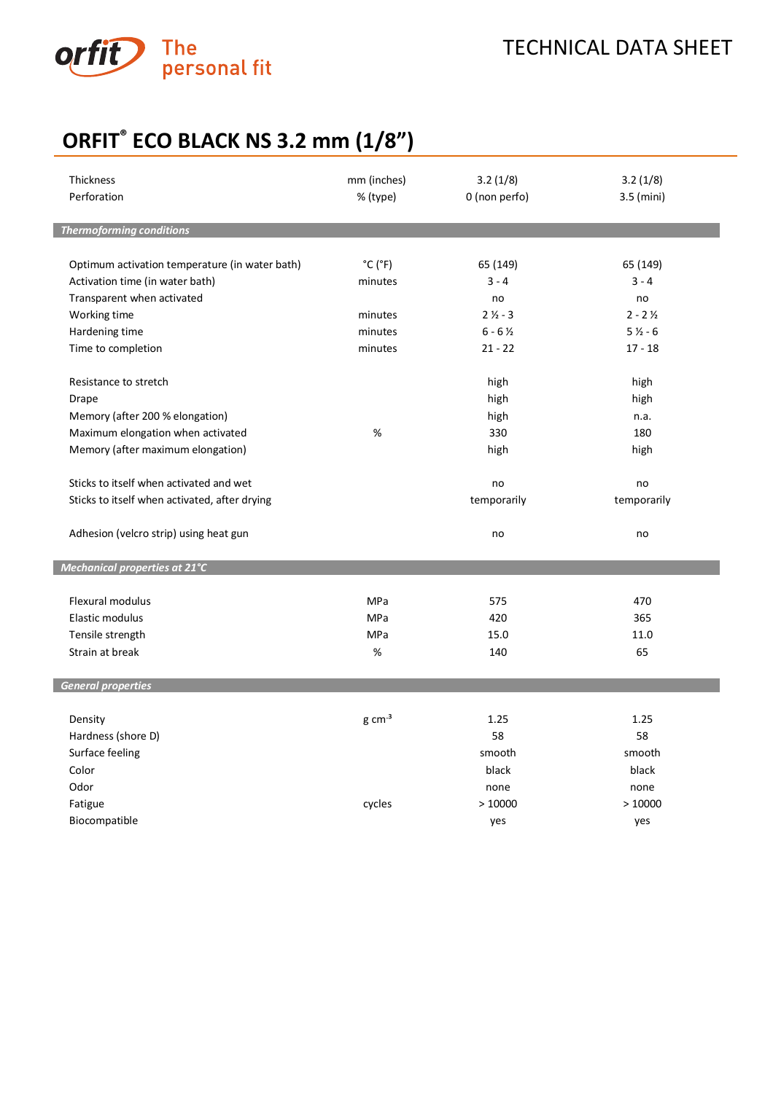

## **ORFIT® ECO BLACK NS 3.2 mm (1/8")**

| Thickness<br>Perforation                       | mm (inches)<br>% (type)      | 3.2(1/8)<br>0 (non perfo) | 3.2(1/8)<br>3.5 (mini) |
|------------------------------------------------|------------------------------|---------------------------|------------------------|
| <b>Thermoforming conditions</b>                |                              |                           |                        |
| Optimum activation temperature (in water bath) | $^{\circ}$ C ( $^{\circ}$ F) | 65 (149)                  | 65 (149)               |
| Activation time (in water bath)                | minutes                      | $3 - 4$                   | $3 - 4$                |
| Transparent when activated                     |                              | no                        | no                     |
| Working time                                   | minutes                      | $21/2 - 3$                | $2 - 2\frac{1}{2}$     |
| Hardening time                                 | minutes                      | $6 - 6\frac{1}{2}$        | $51/2 - 6$             |
| Time to completion                             | minutes                      | $21 - 22$                 | $17 - 18$              |
|                                                |                              |                           |                        |
| Resistance to stretch                          |                              | high                      | high                   |
| Drape                                          |                              | high                      | high                   |
| Memory (after 200 % elongation)                |                              | high                      | n.a.                   |
| Maximum elongation when activated              | %                            | 330                       | 180                    |
| Memory (after maximum elongation)              |                              | high                      | high                   |
|                                                |                              |                           |                        |
| Sticks to itself when activated and wet        |                              | no                        | no                     |
| Sticks to itself when activated, after drying  |                              | temporarily               | temporarily            |
|                                                |                              |                           |                        |
| Adhesion (velcro strip) using heat gun         |                              | no                        | no                     |
|                                                |                              |                           |                        |
| Mechanical properties at 21°C                  |                              |                           |                        |
|                                                |                              |                           |                        |
| Flexural modulus                               | MPa                          | 575                       | 470                    |
| Elastic modulus                                | <b>MPa</b>                   | 420                       | 365                    |
| Tensile strength                               | MPa                          | 15.0                      | 11.0                   |
| Strain at break                                | %                            | 140                       | 65                     |
|                                                |                              |                           |                        |
| <b>General properties</b>                      |                              |                           |                        |
|                                                |                              |                           |                        |
| Density                                        | $g \, \text{cm}^{-3}$        | 1.25<br>58                | 1.25<br>58             |
| Hardness (shore D)                             |                              |                           |                        |
| Surface feeling                                |                              | smooth                    | smooth                 |
| Color                                          |                              | black                     | black                  |
| Odor                                           |                              | none                      | none                   |
| Fatigue                                        | cycles                       | >10000                    | >10000                 |
| Biocompatible                                  |                              | yes                       | yes                    |